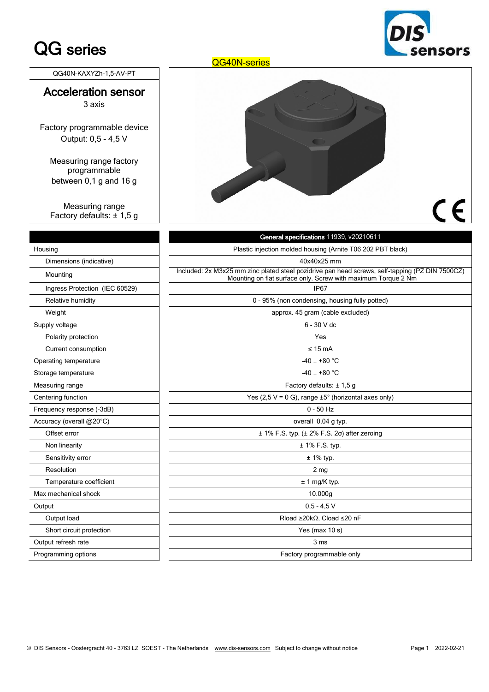# QG series

ensors

QG40N-KAXYZh-1,5-AV-PT

#### Acceleration sensor 3 axis

Factory programmable device Output: 0,5 - 4,5 V

Measuring range factory programmable between 0,1 g and 16 g

Measuring range Factory defaults: ± 1,5 g

| QG40N-series |    |
|--------------|----|
|              |    |
|              | CE |

|                                | General specifications 11939, v20210611                                                                                                                          |
|--------------------------------|------------------------------------------------------------------------------------------------------------------------------------------------------------------|
| Housing                        | Plastic injection molded housing (Arnite T06 202 PBT black)                                                                                                      |
| Dimensions (indicative)        | 40x40x25 mm                                                                                                                                                      |
| Mounting                       | Included: 2x M3x25 mm zinc plated steel pozidrive pan head screws, self-tapping (PZ DIN 7500CZ)<br>Mounting on flat surface only. Screw with maximum Torque 2 Nm |
| Ingress Protection (IEC 60529) | <b>IP67</b>                                                                                                                                                      |
| Relative humidity              | 0 - 95% (non condensing, housing fully potted)                                                                                                                   |
| Weight                         | approx. 45 gram (cable excluded)                                                                                                                                 |
| Supply voltage                 | $6 - 30$ V dc                                                                                                                                                    |
| Polarity protection            | Yes                                                                                                                                                              |
| Current consumption            | $\leq 15$ mA                                                                                                                                                     |
| Operating temperature          | $-40$ $+80$ °C                                                                                                                                                   |
| Storage temperature            | $-40. +80 °C$                                                                                                                                                    |
| Measuring range                | Factory defaults: $\pm$ 1.5 g                                                                                                                                    |
| Centering function             | Yes (2,5 V = 0 G), range $\pm 5^{\circ}$ (horizontal axes only)                                                                                                  |
| Frequency response (-3dB)      | $0 - 50$ Hz                                                                                                                                                      |
| Accuracy (overall @20°C)       | overall 0,04 g typ.                                                                                                                                              |
| Offset error                   | $\pm$ 1% F.S. typ. ( $\pm$ 2% F.S. 2 $\sigma$ ) after zeroing                                                                                                    |
| Non linearity                  | $± 1\%$ F.S. typ.                                                                                                                                                |
| Sensitivity error              | $± 1\%$ typ.                                                                                                                                                     |
| Resolution                     | 2 <sub>mg</sub>                                                                                                                                                  |
| Temperature coefficient        | ± 1 mg/K typ.                                                                                                                                                    |
| Max mechanical shock           | 10.000g                                                                                                                                                          |
| Output                         | $0,5 - 4,5$ V                                                                                                                                                    |
| Output load                    | Rload $\geq$ 20k $\Omega$ , Cload $\leq$ 20 nF                                                                                                                   |
| Short circuit protection       | Yes (max 10 s)                                                                                                                                                   |
| Output refresh rate            | 3 <sub>ms</sub>                                                                                                                                                  |
| Programming options            | Factory programmable only                                                                                                                                        |